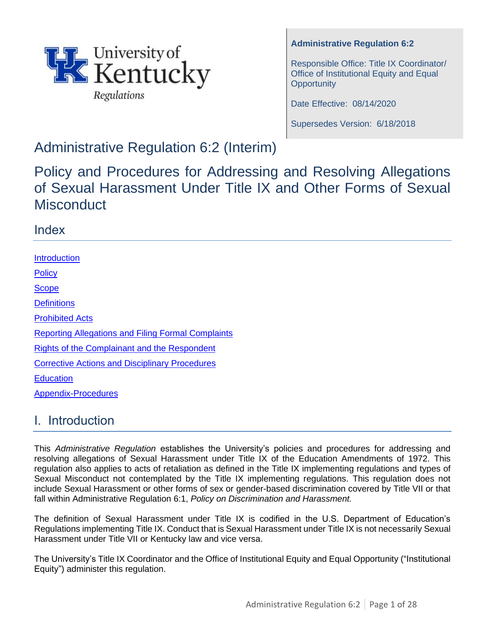

## **Administrative Regulation 6:2**

Responsible Office: Title IX Coordinator/ Office of Institutional Equity and Equal **Opportunity** 

Date Effective: 08/14/2020

Supersedes Version: 6/18/2018

# Administrative Regulation 6:2 (Interim)

Policy and Procedures for Addressing and Resolving Allegations of Sexual Harassment Under Title IX and Other Forms of Sexual **Misconduct** 

## Index

**[Introduction](#page-0-0) [Policy](#page-1-0) [Scope](#page-1-1) [Definitions](#page-2-0)** [Prohibited Acts](#page-10-0) [Reporting Allegations and Filing Formal Complaints](#page-10-1) [Rights of the Complainant](#page-12-0) and the Respondent [Corrective Actions and Disciplinary Procedures](#page-13-0) **[Education](#page-13-1)** [Appendix-Procedures](#page-14-0)

# <span id="page-0-0"></span>I. Introduction

This *Administrative Regulation* establishes the University's policies and procedures for addressing and resolving allegations of Sexual Harassment under Title IX of the Education Amendments of 1972. This regulation also applies to acts of retaliation as defined in the Title IX implementing regulations and types of Sexual Misconduct not contemplated by the Title IX implementing regulations. This regulation does not include Sexual Harassment or other forms of sex or gender-based discrimination covered by Title VII or that fall within Administrative Regulation 6:1, *Policy on Discrimination and Harassment.* 

The definition of Sexual Harassment under Title IX is codified in the U.S. Department of Education's Regulations implementing Title IX. Conduct that is Sexual Harassment under Title IX is not necessarily Sexual Harassment under Title VII or Kentucky law and vice versa.

The University's Title IX Coordinator and the Office of Institutional Equity and Equal Opportunity ("Institutional Equity") administer this regulation.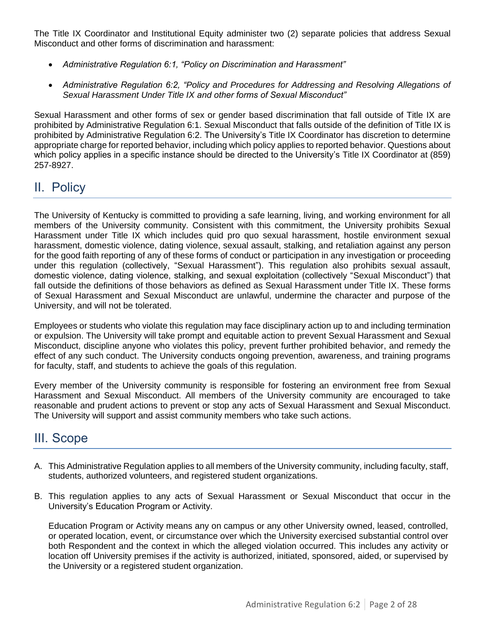The Title IX Coordinator and Institutional Equity administer two (2) separate policies that address Sexual Misconduct and other forms of discrimination and harassment:

- *Administrative Regulation 6:1, "Policy on Discrimination and Harassment"*
- *Administrative Regulation 6:2, "Policy and Procedures for Addressing and Resolving Allegations of Sexual Harassment Under Title IX and other forms of Sexual Misconduct"*

Sexual Harassment and other forms of sex or gender based discrimination that fall outside of Title IX are prohibited by Administrative Regulation 6:1. Sexual Misconduct that falls outside of the definition of Title IX is prohibited by Administrative Regulation 6:2. The University's Title IX Coordinator has discretion to determine appropriate charge for reported behavior, including which policy applies to reported behavior. Questions about which policy applies in a specific instance should be directed to the University's Title IX Coordinator at (859) 257-8927.

# <span id="page-1-0"></span>II. Policy

The University of Kentucky is committed to providing a safe learning, living, and working environment for all members of the University community. Consistent with this commitment, the University prohibits Sexual Harassment under Title IX which includes quid pro quo sexual harassment, hostile environment sexual harassment, domestic violence, dating violence, sexual assault, stalking, and retaliation against any person for the good faith reporting of any of these forms of conduct or participation in any investigation or proceeding under this regulation (collectively, "Sexual Harassment"). This regulation also prohibits sexual assault, domestic violence, dating violence, stalking, and sexual exploitation (collectively "Sexual Misconduct") that fall outside the definitions of those behaviors as defined as Sexual Harassment under Title IX. These forms of Sexual Harassment and Sexual Misconduct are unlawful, undermine the character and purpose of the University, and will not be tolerated.

Employees or students who violate this regulation may face disciplinary action up to and including termination or expulsion. The University will take prompt and equitable action to prevent Sexual Harassment and Sexual Misconduct, discipline anyone who violates this policy, prevent further prohibited behavior, and remedy the effect of any such conduct. The University conducts ongoing prevention, awareness, and training programs for faculty, staff, and students to achieve the goals of this regulation.

Every member of the University community is responsible for fostering an environment free from Sexual Harassment and Sexual Misconduct. All members of the University community are encouraged to take reasonable and prudent actions to prevent or stop any acts of Sexual Harassment and Sexual Misconduct. The University will support and assist community members who take such actions.

## <span id="page-1-1"></span>III. Scope

- A. This Administrative Regulation applies to all members of the University community, including faculty, staff, students, authorized volunteers, and registered student organizations.
- B. This regulation applies to any acts of Sexual Harassment or Sexual Misconduct that occur in the University's Education Program or Activity.

Education Program or Activity means any on campus or any other University owned, leased, controlled, or operated location, event, or circumstance over which the University exercised substantial control over both Respondent and the context in which the alleged violation occurred. This includes any activity or location off University premises if the activity is authorized, initiated, sponsored, aided, or supervised by the University or a registered student organization.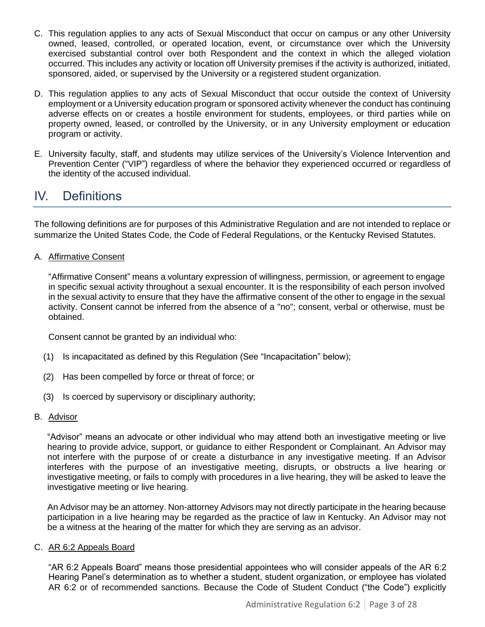- C. This regulation applies to any acts of Sexual Misconduct that occur on campus or any other University owned, leased, controlled, or operated location, event, or circumstance over which the University exercised substantial control over both Respondent and the context in which the alleged violation occurred. This includes any activity or location off University premises if the activity is authorized, initiated, sponsored, aided, or supervised by the University or a registered student organization.
- D. This regulation applies to any acts of Sexual Misconduct that occur outside the context of University employment or a University education program or sponsored activity whenever the conduct has continuing adverse effects on or creates a hostile environment for students, employees, or third parties while on property owned, leased, or controlled by the University, or in any University employment or education program or activity.
- E. University faculty, staff, and students may utilize services of the University's Violence Intervention and Prevention Center ("VIP") regardless of where the behavior they experienced occurred or regardless of the identity of the accused individual.

# <span id="page-2-0"></span>IV. Definitions

The following definitions are for purposes of this Administrative Regulation and are not intended to replace or summarize the United States Code, the Code of Federal Regulations, or the Kentucky Revised Statutes.

A. Affirmative Consent

"Affirmative Consent" means a voluntary expression of willingness, permission, or agreement to engage in specific sexual activity throughout a sexual encounter. It is the responsibility of each person involved in the sexual activity to ensure that they have the affirmative consent of the other to engage in the sexual activity. Consent cannot be inferred from the absence of a "no"; consent, verbal or otherwise, must be obtained.

Consent cannot be granted by an individual who:

- (1) Is incapacitated as defined by this Regulation (See "Incapacitation" below);
- (2) Has been compelled by force or threat of force; or
- (3) Is coerced by supervisory or disciplinary authority;

## B. Advisor

"Advisor" means an advocate or other individual who may attend both an investigative meeting or live hearing to provide advice, support, or guidance to either Respondent or Complainant. An Advisor may not interfere with the purpose of or create a disturbance in any investigative meeting. If an Advisor interferes with the purpose of an investigative meeting, disrupts, or obstructs a live hearing or investigative meeting, or fails to comply with procedures in a live hearing, they will be asked to leave the investigative meeting or live hearing.

An Advisor may be an attorney. Non-attorney Advisors may not directly participate in the hearing because participation in a live hearing may be regarded as the practice of law in Kentucky. An Advisor may not be a witness at the hearing of the matter for which they are serving as an advisor.

#### C. AR 6:2 Appeals Board

"AR 6:2 Appeals Board" means those presidential appointees who will consider appeals of the AR 6:2 Hearing Panel's determination as to whether a student, student organization, or employee has violated AR 6:2 or of recommended sanctions. Because the Code of Student Conduct ("the Code") explicitly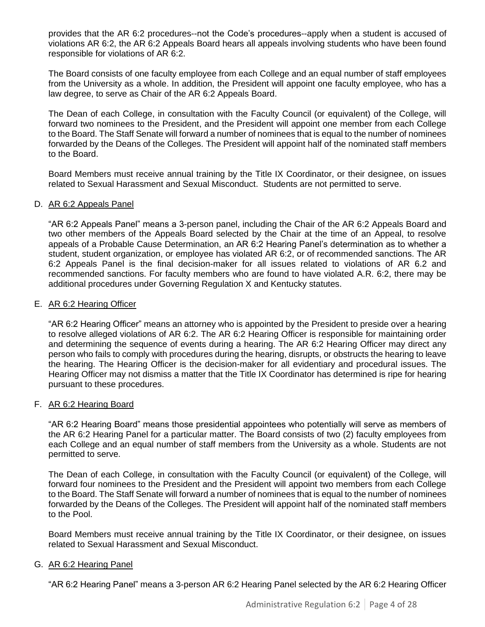provides that the AR 6:2 procedures--not the Code's procedures--apply when a student is accused of violations AR 6:2, the AR 6:2 Appeals Board hears all appeals involving students who have been found responsible for violations of AR 6:2.

The Board consists of one faculty employee from each College and an equal number of staff employees from the University as a whole. In addition, the President will appoint one faculty employee, who has a law degree, to serve as Chair of the AR 6:2 Appeals Board.

The Dean of each College, in consultation with the Faculty Council (or equivalent) of the College, will forward two nominees to the President, and the President will appoint one member from each College to the Board. The Staff Senate will forward a number of nominees that is equal to the number of nominees forwarded by the Deans of the Colleges. The President will appoint half of the nominated staff members to the Board.

Board Members must receive annual training by the Title IX Coordinator, or their designee, on issues related to Sexual Harassment and Sexual Misconduct. Students are not permitted to serve.

#### D. AR 6:2 Appeals Panel

"AR 6:2 Appeals Panel" means a 3-person panel, including the Chair of the AR 6:2 Appeals Board and two other members of the Appeals Board selected by the Chair at the time of an Appeal, to resolve appeals of a Probable Cause Determination, an AR 6:2 Hearing Panel's determination as to whether a student, student organization, or employee has violated AR 6:2, or of recommended sanctions. The AR 6:2 Appeals Panel is the final decision-maker for all issues related to violations of AR 6.2 and recommended sanctions. For faculty members who are found to have violated A.R. 6:2, there may be additional procedures under Governing Regulation X and Kentucky statutes.

#### E. AR 6:2 Hearing Officer

"AR 6:2 Hearing Officer" means an attorney who is appointed by the President to preside over a hearing to resolve alleged violations of AR 6:2. The AR 6:2 Hearing Officer is responsible for maintaining order and determining the sequence of events during a hearing. The AR 6:2 Hearing Officer may direct any person who fails to comply with procedures during the hearing, disrupts, or obstructs the hearing to leave the hearing. The Hearing Officer is the decision-maker for all evidentiary and procedural issues. The Hearing Officer may not dismiss a matter that the Title IX Coordinator has determined is ripe for hearing pursuant to these procedures.

#### F. AR 6:2 Hearing Board

"AR 6:2 Hearing Board" means those presidential appointees who potentially will serve as members of the AR 6:2 Hearing Panel for a particular matter. The Board consists of two (2) faculty employees from each College and an equal number of staff members from the University as a whole. Students are not permitted to serve.

The Dean of each College, in consultation with the Faculty Council (or equivalent) of the College, will forward four nominees to the President and the President will appoint two members from each College to the Board. The Staff Senate will forward a number of nominees that is equal to the number of nominees forwarded by the Deans of the Colleges. The President will appoint half of the nominated staff members to the Pool.

Board Members must receive annual training by the Title IX Coordinator, or their designee, on issues related to Sexual Harassment and Sexual Misconduct.

#### G. AR 6:2 Hearing Panel

"AR 6:2 Hearing Panel" means a 3-person AR 6:2 Hearing Panel selected by the AR 6:2 Hearing Officer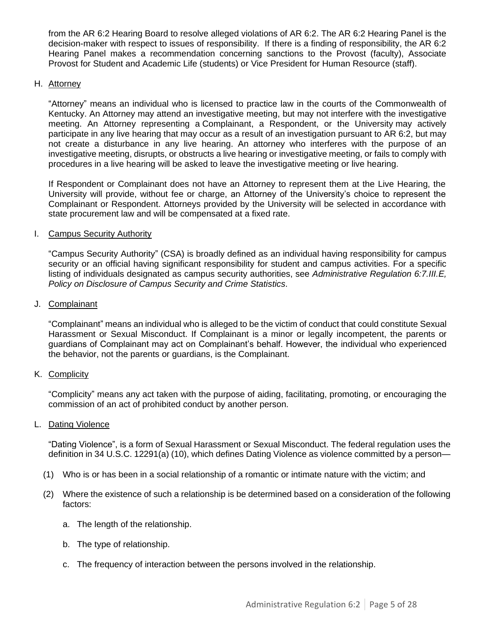from the AR 6:2 Hearing Board to resolve alleged violations of AR 6:2. The AR 6:2 Hearing Panel is the decision-maker with respect to issues of responsibility. If there is a finding of responsibility, the AR 6:2 Hearing Panel makes a recommendation concerning sanctions to the Provost (faculty), Associate Provost for Student and Academic Life (students) or Vice President for Human Resource (staff).

#### H. Attorney

"Attorney" means an individual who is licensed to practice law in the courts of the Commonwealth of Kentucky. An Attorney may attend an investigative meeting, but may not interfere with the investigative meeting. An Attorney representing a Complainant, a Respondent, or the University may actively participate in any live hearing that may occur as a result of an investigation pursuant to AR 6:2, but may not create a disturbance in any live hearing. An attorney who interferes with the purpose of an investigative meeting, disrupts, or obstructs a live hearing or investigative meeting, or fails to comply with procedures in a live hearing will be asked to leave the investigative meeting or live hearing.

If Respondent or Complainant does not have an Attorney to represent them at the Live Hearing, the University will provide, without fee or charge, an Attorney of the University's choice to represent the Complainant or Respondent. Attorneys provided by the University will be selected in accordance with state procurement law and will be compensated at a fixed rate.

#### I. Campus Security Authority

"Campus Security Authority" (CSA) is broadly defined as an individual having responsibility for campus security or an official having significant responsibility for student and campus activities. For a specific listing of individuals designated as campus security authorities, see *Administrative Regulation 6:7.III.E, Policy on Disclosure of Campus Security and Crime Statistics*.

#### J. Complainant

"Complainant" means an individual who is alleged to be the victim of conduct that could constitute Sexual Harassment or Sexual Misconduct. If Complainant is a minor or legally incompetent, the parents or guardians of Complainant may act on Complainant's behalf. However, the individual who experienced the behavior, not the parents or guardians, is the Complainant.

#### K. Complicity

"Complicity" means any act taken with the purpose of aiding, facilitating, promoting, or encouraging the commission of an act of prohibited conduct by another person.

#### L. Dating Violence

"Dating Violence", is a form of Sexual Harassment or Sexual Misconduct. The federal regulation uses the definition in 34 U.S.C. 12291(a) (10), which defines Dating Violence as violence committed by a person—

- (1) Who is or has been in a social relationship of a romantic or intimate nature with the victim; and
- (2) Where the existence of such a relationship is be determined based on a consideration of the following factors:
	- a. The length of the relationship.
	- b. The type of relationship.
	- c. The frequency of interaction between the persons involved in the relationship.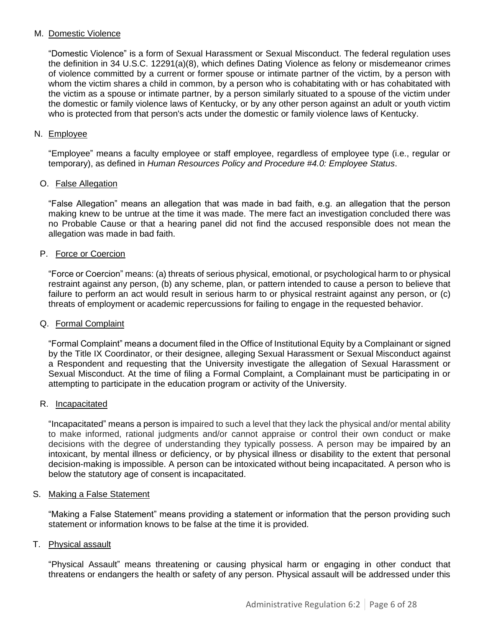### M. Domestic Violence

"Domestic Violence" is a form of Sexual Harassment or Sexual Misconduct. The federal regulation uses the definition in 34 U.S.C. 12291(a)(8), which defines Dating Violence as felony or misdemeanor crimes of violence committed by a current or former spouse or intimate partner of the victim, by a person with whom the victim shares a child in common, by a person who is cohabitating with or has cohabitated with the victim as a spouse or intimate partner, by a person similarly situated to a spouse of the victim under the domestic or family violence laws of Kentucky, or by any other person against an adult or youth victim who is protected from that person's acts under the domestic or family violence laws of Kentucky.

### N. Employee

"Employee" means a faculty employee or staff employee, regardless of employee type (i.e., regular or temporary), as defined in *Human Resources Policy and Procedure #4.0: Employee Status*.

### O. False Allegation

"False Allegation" means an allegation that was made in bad faith, e.g. an allegation that the person making knew to be untrue at the time it was made. The mere fact an investigation concluded there was no Probable Cause or that a hearing panel did not find the accused responsible does not mean the allegation was made in bad faith.

### P. Force or Coercion

"Force or Coercion" means: (a) threats of serious physical, emotional, or psychological harm to or physical restraint against any person, (b) any scheme, plan, or pattern intended to cause a person to believe that failure to perform an act would result in serious harm to or physical restraint against any person, or (c) threats of employment or academic repercussions for failing to engage in the requested behavior.

### Q. Formal Complaint

"Formal Complaint" means a document filed in the Office of Institutional Equity by a Complainant or signed by the Title IX Coordinator, or their designee, alleging Sexual Harassment or Sexual Misconduct against a Respondent and requesting that the University investigate the allegation of Sexual Harassment or Sexual Misconduct. At the time of filing a Formal Complaint, a Complainant must be participating in or attempting to participate in the education program or activity of the University.

#### R. Incapacitated

"Incapacitated" means a person is impaired to such a level that they lack the physical and/or mental ability to make informed, rational judgments and/or cannot appraise or control their own conduct or make decisions with the degree of understanding they typically possess. A person may be impaired by an intoxicant, by mental illness or deficiency, or by physical illness or disability to the extent that personal decision-making is impossible. A person can be intoxicated without being incapacitated. A person who is below the statutory age of consent is incapacitated.

#### S. Making a False Statement

"Making a False Statement" means providing a statement or information that the person providing such statement or information knows to be false at the time it is provided.

## T. Physical assault

"Physical Assault" means threatening or causing physical harm or engaging in other conduct that threatens or endangers the health or safety of any person. Physical assault will be addressed under this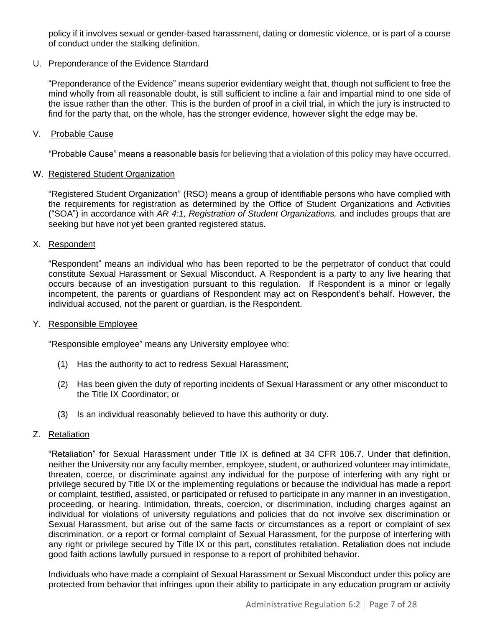policy if it involves sexual or gender-based harassment, dating or domestic violence, or is part of a course of conduct under the stalking definition.

### U. Preponderance of the Evidence Standard

"Preponderance of the Evidence" means superior evidentiary weight that, though not sufficient to free the mind wholly from all reasonable doubt, is still sufficient to incline a fair and impartial mind to one side of the issue rather than the other. This is the burden of proof in a civil trial, in which the jury is instructed to find for the party that, on the whole, has the stronger evidence, however slight the edge may be.

### V. Probable Cause

"Probable Cause" means a reasonable basis for believing that a violation of this policy may have occurred.

### W. Registered Student Organization

"Registered Student Organization" (RSO) means a group of identifiable persons who have complied with the requirements for registration as determined by the Office of Student Organizations and Activities ("SOA") in accordance with *AR 4:1, Registration of Student Organizations,* and includes groups that are seeking but have not yet been granted registered status.

## X. Respondent

"Respondent" means an individual who has been reported to be the perpetrator of conduct that could constitute Sexual Harassment or Sexual Misconduct. A Respondent is a party to any live hearing that occurs because of an investigation pursuant to this regulation. If Respondent is a minor or legally incompetent, the parents or guardians of Respondent may act on Respondent's behalf. However, the individual accused, not the parent or guardian, is the Respondent.

#### Y. Responsible Employee

"Responsible employee" means any University employee who:

- (1) Has the authority to act to redress Sexual Harassment;
- (2) Has been given the duty of reporting incidents of Sexual Harassment or any other misconduct to the Title IX Coordinator; or
- (3) Is an individual reasonably believed to have this authority or duty.

## Z. Retaliation

"Retaliation" for Sexual Harassment under Title IX is defined at 34 CFR 106.7. Under that definition, neither the University nor any faculty member, employee, student, or authorized volunteer may intimidate, threaten, coerce, or discriminate against any individual for the purpose of interfering with any right or privilege secured by Title IX or the implementing regulations or because the individual has made a report or complaint, testified, assisted, or participated or refused to participate in any manner in an investigation, proceeding, or hearing. Intimidation, threats, coercion, or discrimination, including charges against an individual for violations of university regulations and policies that do not involve sex discrimination or Sexual Harassment, but arise out of the same facts or circumstances as a report or complaint of sex discrimination, or a report or formal complaint of Sexual Harassment, for the purpose of interfering with any right or privilege secured by Title IX or this part, constitutes retaliation. Retaliation does not include good faith actions lawfully pursued in response to a report of prohibited behavior.

Individuals who have made a complaint of Sexual Harassment or Sexual Misconduct under this policy are protected from behavior that infringes upon their ability to participate in any education program or activity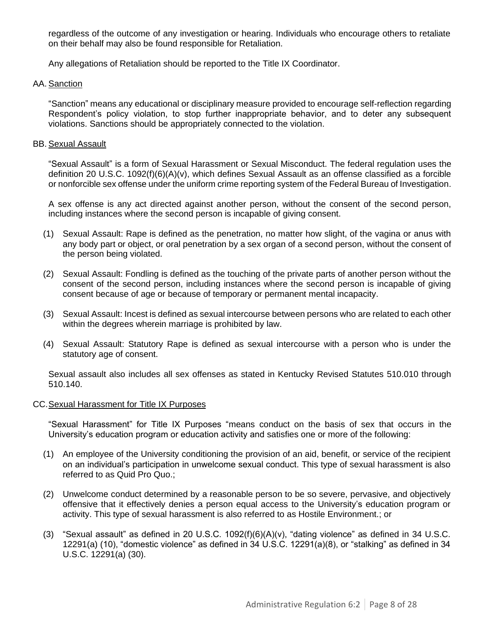regardless of the outcome of any investigation or hearing. Individuals who encourage others to retaliate on their behalf may also be found responsible for Retaliation.

Any allegations of Retaliation should be reported to the Title IX Coordinator.

#### AA. Sanction

"Sanction" means any educational or disciplinary measure provided to encourage self-reflection regarding Respondent's policy violation, to stop further inappropriate behavior, and to deter any subsequent violations. Sanctions should be appropriately connected to the violation.

#### BB. Sexual Assault

"Sexual Assault" is a form of Sexual Harassment or Sexual Misconduct. The federal regulation uses the definition 20 U.S.C. 1092(f)(6)(A)(v), which defines Sexual Assault as an offense classified as a forcible or nonforcible sex offense under the uniform crime reporting system of the Federal Bureau of Investigation.

A sex offense is any act directed against another person, without the consent of the second person, including instances where the second person is incapable of giving consent.

- (1) Sexual Assault: Rape is defined as the penetration, no matter how slight, of the vagina or anus with any body part or object, or oral penetration by a sex organ of a second person, without the consent of the person being violated.
- (2) Sexual Assault: Fondling is defined as the touching of the private parts of another person without the consent of the second person, including instances where the second person is incapable of giving consent because of age or because of temporary or permanent mental incapacity.
- (3) Sexual Assault: Incest is defined as sexual intercourse between persons who are related to each other within the degrees wherein marriage is prohibited by law.
- (4) Sexual Assault: Statutory Rape is defined as sexual intercourse with a person who is under the statutory age of consent.

Sexual assault also includes all sex offenses as stated in Kentucky Revised Statutes 510.010 through 510.140.

#### CC.Sexual Harassment for Title IX Purposes

"Sexual Harassment" for Title IX Purposes "means conduct on the basis of sex that occurs in the University's education program or education activity and satisfies one or more of the following:

- (1) An employee of the University conditioning the provision of an aid, benefit, or service of the recipient on an individual's participation in unwelcome sexual conduct. This type of sexual harassment is also referred to as Quid Pro Quo.;
- (2) Unwelcome conduct determined by a reasonable person to be so severe, pervasive, and objectively offensive that it effectively denies a person equal access to the University's education program or activity. This type of sexual harassment is also referred to as Hostile Environment.; or
- (3) "Sexual assault" as defined in 20 U.S.C. 1092(f)(6)(A)(v), "dating violence" as defined in 34 U.S.C. 12291(a) (10), "domestic violence" as defined in 34 U.S.C. 12291(a)(8), or "stalking" as defined in 34 U.S.C. 12291(a) (30).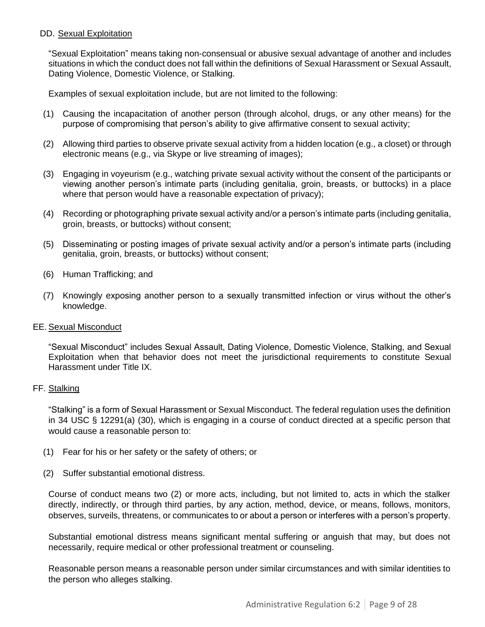### DD. Sexual Exploitation

"Sexual Exploitation" means taking non-consensual or abusive sexual advantage of another and includes situations in which the conduct does not fall within the definitions of Sexual Harassment or Sexual Assault, Dating Violence, Domestic Violence, or Stalking.

Examples of sexual exploitation include, but are not limited to the following:

- (1) Causing the incapacitation of another person (through alcohol, drugs, or any other means) for the purpose of compromising that person's ability to give affirmative consent to sexual activity;
- (2) Allowing third parties to observe private sexual activity from a hidden location (e.g., a closet) or through electronic means (e.g., via Skype or live streaming of images);
- (3) Engaging in voyeurism (e.g., watching private sexual activity without the consent of the participants or viewing another person's intimate parts (including genitalia, groin, breasts, or buttocks) in a place where that person would have a reasonable expectation of privacy);
- (4) Recording or photographing private sexual activity and/or a person's intimate parts (including genitalia, groin, breasts, or buttocks) without consent;
- (5) Disseminating or posting images of private sexual activity and/or a person's intimate parts (including genitalia, groin, breasts, or buttocks) without consent;
- (6) Human Trafficking; and
- (7) Knowingly exposing another person to a sexually transmitted infection or virus without the other's knowledge.

#### EE. Sexual Misconduct

"Sexual Misconduct" includes Sexual Assault, Dating Violence, Domestic Violence, Stalking, and Sexual Exploitation when that behavior does not meet the jurisdictional requirements to constitute Sexual Harassment under Title IX.

#### FF. Stalking

"Stalking" is a form of Sexual Harassment or Sexual Misconduct. The federal regulation uses the definition in 34 USC § 12291(a) (30), which is engaging in a course of conduct directed at a specific person that would cause a reasonable person to:

- (1) Fear for his or her safety or the safety of others; or
- (2) Suffer substantial emotional distress.

Course of conduct means two (2) or more acts, including, but not limited to, acts in which the stalker directly, indirectly, or through third parties, by any action, method, device, or means, follows, monitors, observes, surveils, threatens, or communicates to or about a person or interferes with a person's property.

Substantial emotional distress means significant mental suffering or anguish that may, but does not necessarily, require medical or other professional treatment or counseling.

Reasonable person means a reasonable person under similar circumstances and with similar identities to the person who alleges stalking.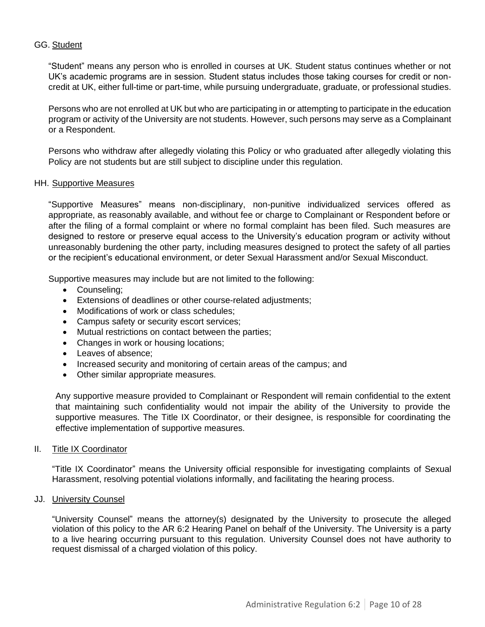### GG. Student

"Student" means any person who is enrolled in courses at UK. Student status continues whether or not UK's academic programs are in session. Student status includes those taking courses for credit or noncredit at UK, either full-time or part-time, while pursuing undergraduate, graduate, or professional studies.

Persons who are not enrolled at UK but who are participating in or attempting to participate in the education program or activity of the University are not students. However, such persons may serve as a Complainant or a Respondent.

Persons who withdraw after allegedly violating this Policy or who graduated after allegedly violating this Policy are not students but are still subject to discipline under this regulation.

#### HH. Supportive Measures

"Supportive Measures" means non-disciplinary, non-punitive individualized services offered as appropriate, as reasonably available, and without fee or charge to Complainant or Respondent before or after the filing of a formal complaint or where no formal complaint has been filed. Such measures are designed to restore or preserve equal access to the University's education program or activity without unreasonably burdening the other party, including measures designed to protect the safety of all parties or the recipient's educational environment, or deter Sexual Harassment and/or Sexual Misconduct.

Supportive measures may include but are not limited to the following:

- Counseling;
- Extensions of deadlines or other course-related adjustments;
- Modifications of work or class schedules;
- Campus safety or security escort services;
- Mutual restrictions on contact between the parties;
- Changes in work or housing locations;
- Leaves of absence;
- Increased security and monitoring of certain areas of the campus; and
- Other similar appropriate measures.

Any supportive measure provided to Complainant or Respondent will remain confidential to the extent that maintaining such confidentiality would not impair the ability of the University to provide the supportive measures. The Title IX Coordinator, or their designee, is responsible for coordinating the effective implementation of supportive measures.

#### II. Title IX Coordinator

"Title IX Coordinator" means the University official responsible for investigating complaints of Sexual Harassment, resolving potential violations informally, and facilitating the hearing process.

#### JJ. **University Counsel**

"University Counsel" means the attorney(s) designated by the University to prosecute the alleged violation of this policy to the AR 6:2 Hearing Panel on behalf of the University. The University is a party to a live hearing occurring pursuant to this regulation. University Counsel does not have authority to request dismissal of a charged violation of this policy.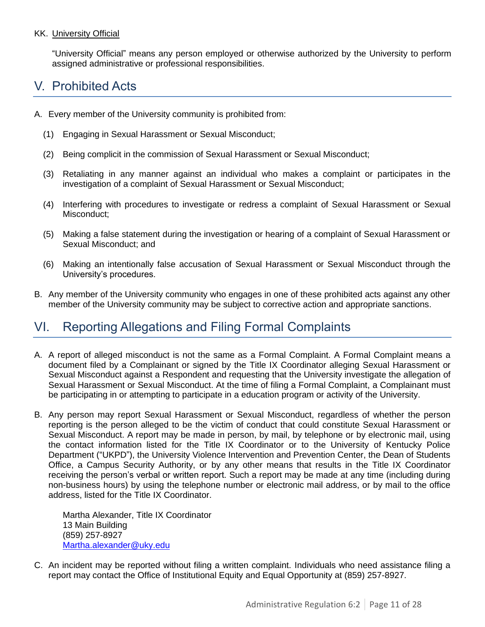## KK. University Official

"University Official" means any person employed or otherwise authorized by the University to perform assigned administrative or professional responsibilities.

# <span id="page-10-0"></span>V. Prohibited Acts

- A. Every member of the University community is prohibited from:
	- (1) Engaging in Sexual Harassment or Sexual Misconduct;
	- (2) Being complicit in the commission of Sexual Harassment or Sexual Misconduct;
	- (3) Retaliating in any manner against an individual who makes a complaint or participates in the investigation of a complaint of Sexual Harassment or Sexual Misconduct;
	- (4) Interfering with procedures to investigate or redress a complaint of Sexual Harassment or Sexual Misconduct;
	- (5) Making a false statement during the investigation or hearing of a complaint of Sexual Harassment or Sexual Misconduct; and
	- (6) Making an intentionally false accusation of Sexual Harassment or Sexual Misconduct through the University's procedures.
- B. Any member of the University community who engages in one of these prohibited acts against any other member of the University community may be subject to corrective action and appropriate sanctions.

# <span id="page-10-1"></span>VI. Reporting Allegations and Filing Formal Complaints

- A. A report of alleged misconduct is not the same as a Formal Complaint. A Formal Complaint means a document filed by a Complainant or signed by the Title IX Coordinator alleging Sexual Harassment or Sexual Misconduct against a Respondent and requesting that the University investigate the allegation of Sexual Harassment or Sexual Misconduct. At the time of filing a Formal Complaint, a Complainant must be participating in or attempting to participate in a education program or activity of the University.
- B. Any person may report Sexual Harassment or Sexual Misconduct, regardless of whether the person reporting is the person alleged to be the victim of conduct that could constitute Sexual Harassment or Sexual Misconduct. A report may be made in person, by mail, by telephone or by electronic mail, using the contact information listed for the Title IX Coordinator or to the University of Kentucky Police Department ("UKPD"), the University Violence Intervention and Prevention Center, the Dean of Students Office, a Campus Security Authority, or by any other means that results in the Title IX Coordinator receiving the person's verbal or written report. Such a report may be made at any time (including during non-business hours) by using the telephone number or electronic mail address, or by mail to the office address, listed for the Title IX Coordinator.

Martha Alexander, Title IX Coordinator 13 Main Building (859) 257-8927 [Martha.alexander@uky.edu](mailto:Martha.alexander@uky.edu)

C. An incident may be reported without filing a written complaint. Individuals who need assistance filing a report may contact the Office of Institutional Equity and Equal Opportunity at (859) 257-8927.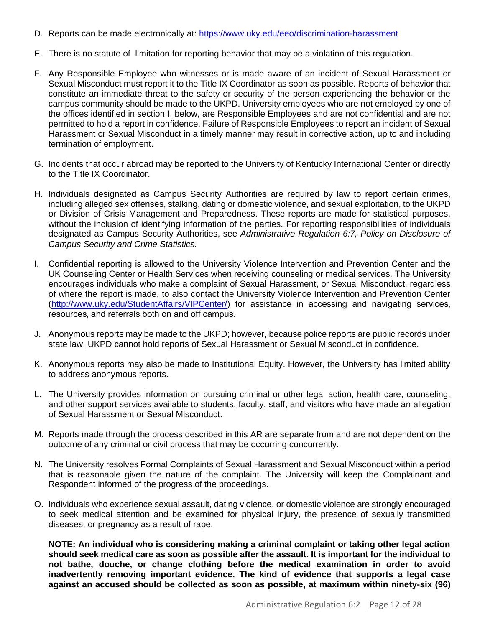- D. Reports can be made electronically at:<https://www.uky.edu/eeo/discrimination-harassment>
- E. There is no statute of limitation for reporting behavior that may be a violation of this regulation.
- F. Any Responsible Employee who witnesses or is made aware of an incident of Sexual Harassment or Sexual Misconduct must report it to the Title IX Coordinator as soon as possible. Reports of behavior that constitute an immediate threat to the safety or security of the person experiencing the behavior or the campus community should be made to the UKPD. University employees who are not employed by one of the offices identified in section I, below, are Responsible Employees and are not confidential and are not permitted to hold a report in confidence. Failure of Responsible Employees to report an incident of Sexual Harassment or Sexual Misconduct in a timely manner may result in corrective action, up to and including termination of employment.
- G. Incidents that occur abroad may be reported to the University of Kentucky International Center or directly to the Title IX Coordinator.
- H. Individuals designated as Campus Security Authorities are required by law to report certain crimes, including alleged sex offenses, stalking, dating or domestic violence, and sexual exploitation, to the UKPD or Division of Crisis Management and Preparedness. These reports are made for statistical purposes, without the inclusion of identifying information of the parties. For reporting responsibilities of individuals designated as Campus Security Authorities, see *Administrative Regulation 6:7, Policy on Disclosure of Campus Security and Crime Statistics.*
- I. Confidential reporting is allowed to the University Violence Intervention and Prevention Center and the UK Counseling Center or Health Services when receiving counseling or medical services. The University encourages individuals who make a complaint of Sexual Harassment, or Sexual Misconduct, regardless of where the report is made, to also contact the University Violence Intervention and Prevention Center [\(http://www.uky.edu/StudentAffairs/VIPCenter/\)](http://www.uky.edu/StudentAffairs/VIPCenter/) for assistance in accessing and navigating services' resources, and referrals both on and off campus.
- J. Anonymous reports may be made to the UKPD; however, because police reports are public records under state law, UKPD cannot hold reports of Sexual Harassment or Sexual Misconduct in confidence.
- K. Anonymous reports may also be made to Institutional Equity. However, the University has limited ability to address anonymous reports.
- L. The University provides information on pursuing criminal or other legal action, health care, counseling, and other support services available to students, faculty, staff, and visitors who have made an allegation of Sexual Harassment or Sexual Misconduct.
- M. Reports made through the process described in this AR are separate from and are not dependent on the outcome of any criminal or civil process that may be occurring concurrently.
- N. The University resolves Formal Complaints of Sexual Harassment and Sexual Misconduct within a period that is reasonable given the nature of the complaint. The University will keep the Complainant and Respondent informed of the progress of the proceedings.
- O. Individuals who experience sexual assault, dating violence, or domestic violence are strongly encouraged to seek medical attention and be examined for physical injury, the presence of sexually transmitted diseases, or pregnancy as a result of rape.

**NOTE: An individual who is considering making a criminal complaint or taking other legal action should seek medical care as soon as possible after the assault. It is important for the individual to not bathe, douche, or change clothing before the medical examination in order to avoid inadvertently removing important evidence. The kind of evidence that supports a legal case against an accused should be collected as soon as possible, at maximum within ninety-six (96)**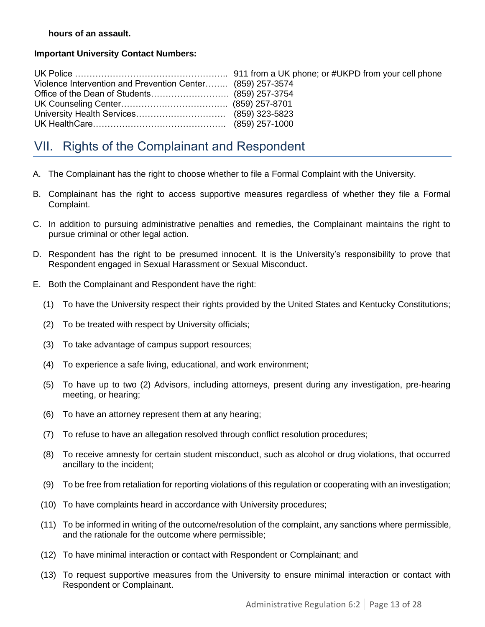### **hours of an assault.**

## **Important University Contact Numbers:**

| Violence Intervention and Prevention Center (859) 257-3574 |  |
|------------------------------------------------------------|--|
|                                                            |  |
|                                                            |  |
|                                                            |  |
|                                                            |  |

# <span id="page-12-0"></span>VII. Rights of the Complainant and Respondent

- A. The Complainant has the right to choose whether to file a Formal Complaint with the University.
- B. Complainant has the right to access supportive measures regardless of whether they file a Formal Complaint.
- C. In addition to pursuing administrative penalties and remedies, the Complainant maintains the right to pursue criminal or other legal action.
- D. Respondent has the right to be presumed innocent. It is the University's responsibility to prove that Respondent engaged in Sexual Harassment or Sexual Misconduct.
- E. Both the Complainant and Respondent have the right:
	- (1) To have the University respect their rights provided by the United States and Kentucky Constitutions;
	- (2) To be treated with respect by University officials;
	- (3) To take advantage of campus support resources;
	- (4) To experience a safe living, educational, and work environment;
	- (5) To have up to two (2) Advisors, including attorneys, present during any investigation, pre-hearing meeting, or hearing;
	- (6) To have an attorney represent them at any hearing;
	- (7) To refuse to have an allegation resolved through conflict resolution procedures;
	- (8) To receive amnesty for certain student misconduct, such as alcohol or drug violations, that occurred ancillary to the incident;
	- (9) To be free from retaliation for reporting violations of this regulation or cooperating with an investigation;
	- (10) To have complaints heard in accordance with University procedures;
	- (11) To be informed in writing of the outcome/resolution of the complaint, any sanctions where permissible, and the rationale for the outcome where permissible;
	- (12) To have minimal interaction or contact with Respondent or Complainant; and
	- (13) To request supportive measures from the University to ensure minimal interaction or contact with Respondent or Complainant.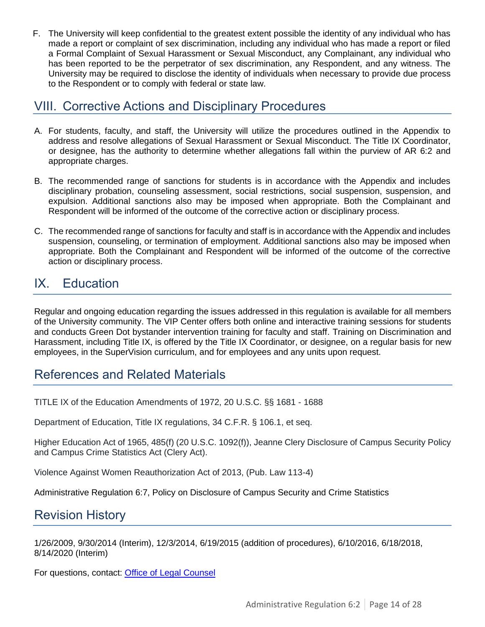F. The University will keep confidential to the greatest extent possible the identity of any individual who has made a report or complaint of sex discrimination, including any individual who has made a report or filed a Formal Complaint of Sexual Harassment or Sexual Misconduct, any Complainant, any individual who has been reported to be the perpetrator of sex discrimination, any Respondent, and any witness. The University may be required to disclose the identity of individuals when necessary to provide due process to the Respondent or to comply with federal or state law.

## <span id="page-13-0"></span>VIII. Corrective Actions and Disciplinary Procedures

- A. For students, faculty, and staff, the University will utilize the procedures outlined in the Appendix to address and resolve allegations of Sexual Harassment or Sexual Misconduct. The Title IX Coordinator, or designee, has the authority to determine whether allegations fall within the purview of AR 6:2 and appropriate charges.
- B. The recommended range of sanctions for students is in accordance with the Appendix and includes disciplinary probation, counseling assessment, social restrictions, social suspension, suspension, and expulsion. Additional sanctions also may be imposed when appropriate. Both the Complainant and Respondent will be informed of the outcome of the corrective action or disciplinary process.
- C. The recommended range of sanctions for faculty and staff is in accordance with the Appendix and includes suspension, counseling, or termination of employment. Additional sanctions also may be imposed when appropriate. Both the Complainant and Respondent will be informed of the outcome of the corrective action or disciplinary process.

# <span id="page-13-1"></span>IX. Education

Regular and ongoing education regarding the issues addressed in this regulation is available for all members of the University community. The VIP Center offers both online and interactive training sessions for students and conducts Green Dot bystander intervention training for faculty and staff. Training on Discrimination and Harassment, including Title IX, is offered by the Title IX Coordinator, or designee, on a regular basis for new employees, in the SuperVision curriculum, and for employees and any units upon request.

## References and Related Materials

TITLE IX of the Education Amendments of 1972, 20 U.S.C. §§ 1681 - 1688

Department of Education, Title IX regulations, 34 C.F.R. § 106.1, et seq.

Higher Education Act of 1965, 485(f) (20 U.S.C. 1092(f)), Jeanne Clery Disclosure of Campus Security Policy and Campus Crime Statistics Act (Clery Act).

Violence Against Women Reauthorization Act of 2013, (Pub. Law 113-4)

Administrative Regulation 6:7, Policy on Disclosure of Campus Security and Crime Statistics

# Revision History

1/26/2009, 9/30/2014 (Interim), 12/3/2014, 6/19/2015 (addition of procedures), 6/10/2016, 6/18/2018, 8/14/2020 (Interim)

For questions, contact: [Office of Legal Counsel](mailto:LegalRegs@uky.edu)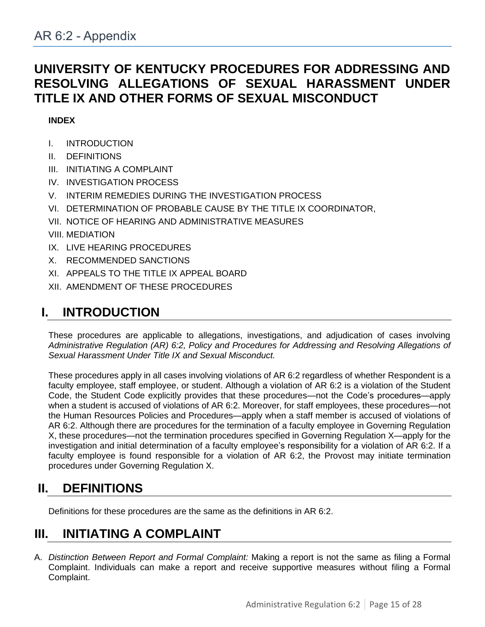# <span id="page-14-0"></span>**UNIVERSITY OF KENTUCKY PROCEDURES FOR ADDRESSING AND RESOLVING ALLEGATIONS OF SEXUAL HARASSMENT UNDER TITLE IX AND OTHER FORMS OF SEXUAL MISCONDUCT**

## **INDEX**

- I. INTRODUCTION
- II. DEFINITIONS
- III. INITIATING A COMPLAINT
- IV. INVESTIGATION PROCESS
- V. INTERIM REMEDIES DURING THE INVESTIGATION PROCESS
- VI. DETERMINATION OF PROBABLE CAUSE BY THE TITLE IX COORDINATOR,
- VII. NOTICE OF HEARING AND ADMINISTRATIVE MEASURES
- VIII. MEDIATION
- IX. LIVE HEARING PROCEDURES
- X. RECOMMENDED SANCTIONS
- XI. APPEALS TO THE TITLE IX APPEAL BOARD
- XII. AMENDMENT OF THESE PROCEDURES

# **I. INTRODUCTION**

These procedures are applicable to allegations, investigations, and adjudication of cases involving *Administrative Regulation (AR) 6:2, Policy and Procedures for Addressing and Resolving Allegations of Sexual Harassment Under Title IX and Sexual Misconduct.* 

These procedures apply in all cases involving violations of AR 6:2 regardless of whether Respondent is a faculty employee, staff employee, or student. Although a violation of AR 6:2 is a violation of the Student Code, the Student Code explicitly provides that these procedures—not the Code's procedures—apply when a student is accused of violations of AR 6:2. Moreover, for staff employees, these procedures—not the Human Resources Policies and Procedures—apply when a staff member is accused of violations of AR 6:2. Although there are procedures for the termination of a faculty employee in Governing Regulation X, these procedures—not the termination procedures specified in Governing Regulation X—apply for the investigation and initial determination of a faculty employee's responsibility for a violation of AR 6:2. If a faculty employee is found responsible for a violation of AR 6:2, the Provost may initiate termination procedures under Governing Regulation X.

# **II. DEFINITIONS**

Definitions for these procedures are the same as the definitions in AR 6:2.

# **III. INITIATING A COMPLAINT**

A. *Distinction Between Report and Formal Complaint:* Making a report is not the same as filing a Formal Complaint. Individuals can make a report and receive supportive measures without filing a Formal Complaint.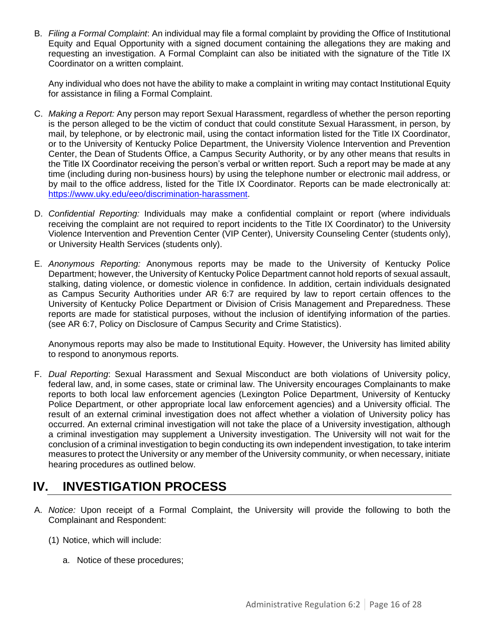B. *Filing a Formal Complaint*: An individual may file a formal complaint by providing the Office of Institutional Equity and Equal Opportunity with a signed document containing the allegations they are making and requesting an investigation. A Formal Complaint can also be initiated with the signature of the Title IX Coordinator on a written complaint.

Any individual who does not have the ability to make a complaint in writing may contact Institutional Equity for assistance in filing a Formal Complaint.

- C. *Making a Report:* Any person may report Sexual Harassment, regardless of whether the person reporting is the person alleged to be the victim of conduct that could constitute Sexual Harassment, in person, by mail, by telephone, or by electronic mail, using the contact information listed for the Title IX Coordinator, or to the University of Kentucky Police Department, the University Violence Intervention and Prevention Center, the Dean of Students Office, a Campus Security Authority, or by any other means that results in the Title IX Coordinator receiving the person's verbal or written report. Such a report may be made at any time (including during non-business hours) by using the telephone number or electronic mail address, or by mail to the office address, listed for the Title IX Coordinator. Reports can be made electronically at: [https://www.uky.edu/eeo/discrimination-harassment.](https://www.uky.edu/eeo/discrimination-harassment)
- D. *Confidential Reporting:* Individuals may make a confidential complaint or report (where individuals receiving the complaint are not required to report incidents to the Title IX Coordinator) to the University Violence Intervention and Prevention Center (VIP Center), University Counseling Center (students only), or University Health Services (students only).
- E. *Anonymous Reporting:* Anonymous reports may be made to the University of Kentucky Police Department; however, the University of Kentucky Police Department cannot hold reports of sexual assault, stalking, dating violence, or domestic violence in confidence. In addition, certain individuals designated as Campus Security Authorities under AR 6:7 are required by law to report certain offences to the University of Kentucky Police Department or Division of Crisis Management and Preparedness. These reports are made for statistical purposes, without the inclusion of identifying information of the parties. (see AR 6:7, Policy on Disclosure of Campus Security and Crime Statistics).

Anonymous reports may also be made to Institutional Equity. However, the University has limited ability to respond to anonymous reports.

F. *Dual Reporting*: Sexual Harassment and Sexual Misconduct are both violations of University policy, federal law, and, in some cases, state or criminal law. The University encourages Complainants to make reports to both local law enforcement agencies (Lexington Police Department, University of Kentucky Police Department, or other appropriate local law enforcement agencies) and a University official. The result of an external criminal investigation does not affect whether a violation of University policy has occurred. An external criminal investigation will not take the place of a University investigation, although a criminal investigation may supplement a University investigation. The University will not wait for the conclusion of a criminal investigation to begin conducting its own independent investigation, to take interim measures to protect the University or any member of the University community, or when necessary, initiate hearing procedures as outlined below.

# **IV. INVESTIGATION PROCESS**

- A. *Notice:* Upon receipt of a Formal Complaint, the University will provide the following to both the Complainant and Respondent:
	- (1) Notice, which will include:
		- a. Notice of these procedures;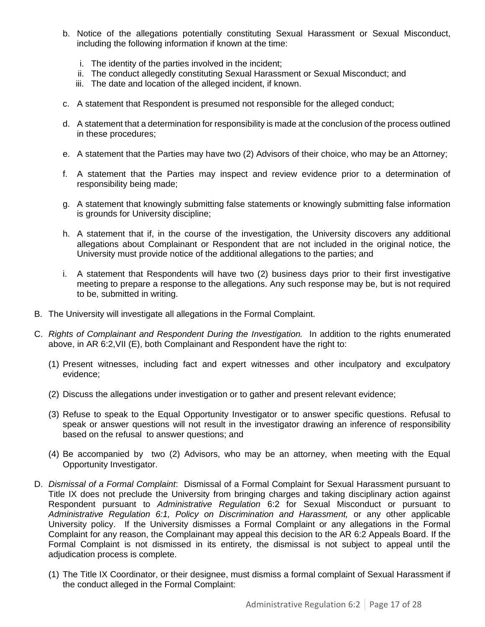- b. Notice of the allegations potentially constituting Sexual Harassment or Sexual Misconduct, including the following information if known at the time:
	- i. The identity of the parties involved in the incident;
	- ii. The conduct allegedly constituting Sexual Harassment or Sexual Misconduct; and
	- iii. The date and location of the alleged incident, if known.
- c. A statement that Respondent is presumed not responsible for the alleged conduct;
- d. A statement that a determination for responsibility is made at the conclusion of the process outlined in these procedures;
- e. A statement that the Parties may have two (2) Advisors of their choice, who may be an Attorney;
- f. A statement that the Parties may inspect and review evidence prior to a determination of responsibility being made;
- g. A statement that knowingly submitting false statements or knowingly submitting false information is grounds for University discipline;
- h. A statement that if, in the course of the investigation, the University discovers any additional allegations about Complainant or Respondent that are not included in the original notice, the University must provide notice of the additional allegations to the parties; and
- i. A statement that Respondents will have two (2) business days prior to their first investigative meeting to prepare a response to the allegations. Any such response may be, but is not required to be, submitted in writing.
- B. The University will investigate all allegations in the Formal Complaint.
- C. *Rights of Complainant and Respondent During the Investigation.* In addition to the rights enumerated above, in AR 6:2,VII (E), both Complainant and Respondent have the right to:
	- (1) Present witnesses, including fact and expert witnesses and other inculpatory and exculpatory evidence;
	- (2) Discuss the allegations under investigation or to gather and present relevant evidence;
	- (3) Refuse to speak to the Equal Opportunity Investigator or to answer specific questions. Refusal to speak or answer questions will not result in the investigator drawing an inference of responsibility based on the refusal to answer questions; and
	- (4) Be accompanied by two (2) Advisors, who may be an attorney, when meeting with the Equal Opportunity Investigator.
- D. *Dismissal of a Formal Complaint*: Dismissal of a Formal Complaint for Sexual Harassment pursuant to Title IX does not preclude the University from bringing charges and taking disciplinary action against Respondent pursuant to *Administrative Regulation* 6:2 for Sexual Misconduct or pursuant to *Administrative Regulation 6:1, Policy on Discrimination and Harassment,* or any other applicable University policy. If the University dismisses a Formal Complaint or any allegations in the Formal Complaint for any reason, the Complainant may appeal this decision to the AR 6:2 Appeals Board. If the Formal Complaint is not dismissed in its entirety, the dismissal is not subject to appeal until the adiudication process is complete.
	- (1) The Title IX Coordinator, or their designee, must dismiss a formal complaint of Sexual Harassment if the conduct alleged in the Formal Complaint: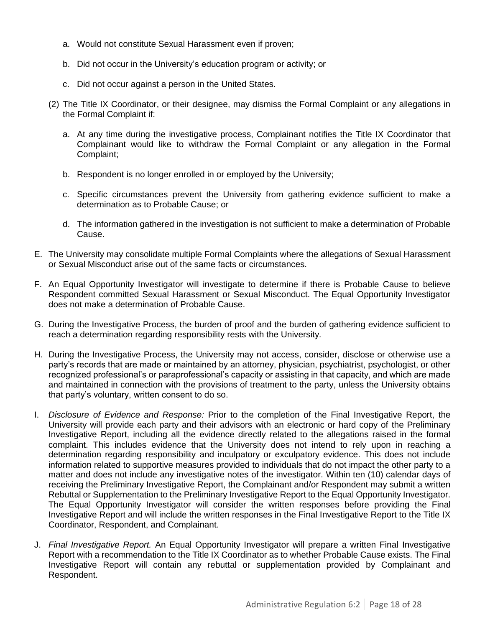- a. Would not constitute Sexual Harassment even if proven;
- b. Did not occur in the University's education program or activity; or
- c. Did not occur against a person in the United States.
- (2) The Title IX Coordinator, or their designee, may dismiss the Formal Complaint or any allegations in the Formal Complaint if:
	- a. At any time during the investigative process, Complainant notifies the Title IX Coordinator that Complainant would like to withdraw the Formal Complaint or any allegation in the Formal Complaint;
	- b. Respondent is no longer enrolled in or employed by the University;
	- c. Specific circumstances prevent the University from gathering evidence sufficient to make a determination as to Probable Cause; or
	- d. The information gathered in the investigation is not sufficient to make a determination of Probable Cause.
- E. The University may consolidate multiple Formal Complaints where the allegations of Sexual Harassment or Sexual Misconduct arise out of the same facts or circumstances.
- F. An Equal Opportunity Investigator will investigate to determine if there is Probable Cause to believe Respondent committed Sexual Harassment or Sexual Misconduct. The Equal Opportunity Investigator does not make a determination of Probable Cause.
- G. During the Investigative Process, the burden of proof and the burden of gathering evidence sufficient to reach a determination regarding responsibility rests with the University*.*
- H. During the Investigative Process, the University may not access, consider, disclose or otherwise use a party's records that are made or maintained by an attorney, physician, psychiatrist, psychologist, or other recognized professional's or paraprofessional's capacity or assisting in that capacity, and which are made and maintained in connection with the provisions of treatment to the party, unless the University obtains that party's voluntary, written consent to do so.
- I. *Disclosure of Evidence and Response:* Prior to the completion of the Final Investigative Report, the University will provide each party and their advisors with an electronic or hard copy of the Preliminary Investigative Report, including all the evidence directly related to the allegations raised in the formal complaint. This includes evidence that the University does not intend to rely upon in reaching a determination regarding responsibility and inculpatory or exculpatory evidence. This does not include information related to supportive measures provided to individuals that do not impact the other party to a matter and does not include any investigative notes of the investigator. Within ten (10) calendar days of receiving the Preliminary Investigative Report, the Complainant and/or Respondent may submit a written Rebuttal or Supplementation to the Preliminary Investigative Report to the Equal Opportunity Investigator. The Equal Opportunity Investigator will consider the written responses before providing the Final Investigative Report and will include the written responses in the Final Investigative Report to the Title IX Coordinator, Respondent, and Complainant.
- J. *Final Investigative Report.* An Equal Opportunity Investigator will prepare a written Final Investigative Report with a recommendation to the Title IX Coordinator as to whether Probable Cause exists. The Final Investigative Report will contain any rebuttal or supplementation provided by Complainant and Respondent.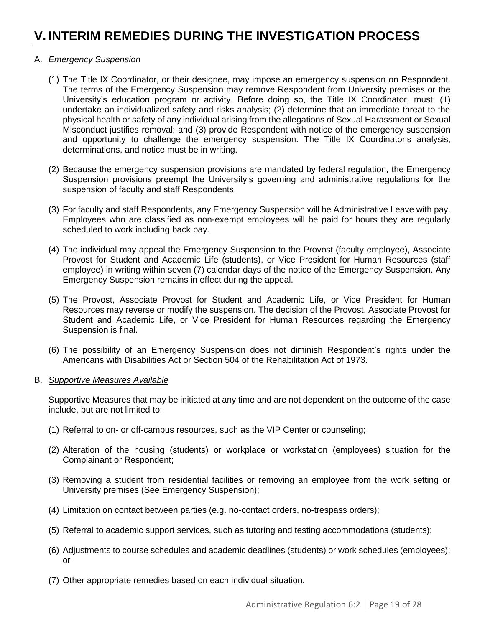# **V. INTERIM REMEDIES DURING THE INVESTIGATION PROCESS**

### A. *Emergency Suspension*

- (1) The Title IX Coordinator, or their designee, may impose an emergency suspension on Respondent. The terms of the Emergency Suspension may remove Respondent from University premises or the University's education program or activity. Before doing so, the Title IX Coordinator, must: (1) undertake an individualized safety and risks analysis; (2) determine that an immediate threat to the physical health or safety of any individual arising from the allegations of Sexual Harassment or Sexual Misconduct justifies removal; and (3) provide Respondent with notice of the emergency suspension and opportunity to challenge the emergency suspension. The Title IX Coordinator's analysis, determinations, and notice must be in writing.
- (2) Because the emergency suspension provisions are mandated by federal regulation, the Emergency Suspension provisions preempt the University's governing and administrative regulations for the suspension of faculty and staff Respondents.
- (3) For faculty and staff Respondents, any Emergency Suspension will be Administrative Leave with pay. Employees who are classified as non-exempt employees will be paid for hours they are regularly scheduled to work including back pay.
- (4) The individual may appeal the Emergency Suspension to the Provost (faculty employee), Associate Provost for Student and Academic Life (students), or Vice President for Human Resources (staff employee) in writing within seven (7) calendar days of the notice of the Emergency Suspension. Any Emergency Suspension remains in effect during the appeal.
- (5) The Provost, Associate Provost for Student and Academic Life, or Vice President for Human Resources may reverse or modify the suspension. The decision of the Provost, Associate Provost for Student and Academic Life, or Vice President for Human Resources regarding the Emergency Suspension is final.
- (6) The possibility of an Emergency Suspension does not diminish Respondent's rights under the Americans with Disabilities Act or Section 504 of the Rehabilitation Act of 1973.

#### B. *Supportive Measures Available*

Supportive Measures that may be initiated at any time and are not dependent on the outcome of the case include, but are not limited to:

- (1) Referral to on- or off-campus resources, such as the VIP Center or counseling;
- (2) Alteration of the housing (students) or workplace or workstation (employees) situation for the Complainant or Respondent;
- (3) Removing a student from residential facilities or removing an employee from the work setting or University premises (See Emergency Suspension);
- (4) Limitation on contact between parties (e.g. no-contact orders, no-trespass orders);
- (5) Referral to academic support services, such as tutoring and testing accommodations (students);
- (6) Adjustments to course schedules and academic deadlines (students) or work schedules (employees); or
- (7) Other appropriate remedies based on each individual situation.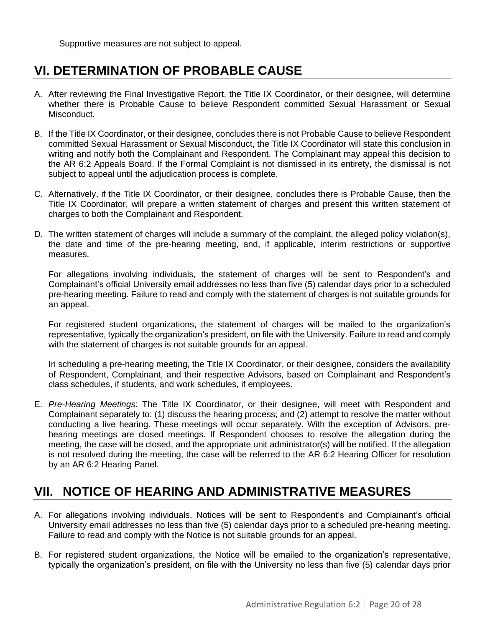Supportive measures are not subject to appeal.

# **VI. DETERMINATION OF PROBABLE CAUSE**

- A. After reviewing the Final Investigative Report, the Title IX Coordinator, or their designee, will determine whether there is Probable Cause to believe Respondent committed Sexual Harassment or Sexual Misconduct.
- B. If the Title IX Coordinator, or their designee, concludes there is not Probable Cause to believe Respondent committed Sexual Harassment or Sexual Misconduct, the Title IX Coordinator will state this conclusion in writing and notify both the Complainant and Respondent. The Complainant may appeal this decision to the AR 6:2 Appeals Board. If the Formal Complaint is not dismissed in its entirety, the dismissal is not subject to appeal until the adjudication process is complete.
- C. Alternatively, if the Title IX Coordinator, or their designee, concludes there is Probable Cause, then the Title IX Coordinator, will prepare a written statement of charges and present this written statement of charges to both the Complainant and Respondent.
- D. The written statement of charges will include a summary of the complaint, the alleged policy violation(s), the date and time of the pre-hearing meeting, and, if applicable, interim restrictions or supportive measures.

For allegations involving individuals, the statement of charges will be sent to Respondent's and Complainant's official University email addresses no less than five (5) calendar days prior to a scheduled pre-hearing meeting. Failure to read and comply with the statement of charges is not suitable grounds for an appeal.

For registered student organizations, the statement of charges will be mailed to the organization's representative, typically the organization's president, on file with the University. Failure to read and comply with the statement of charges is not suitable grounds for an appeal.

In scheduling a pre-hearing meeting, the Title IX Coordinator, or their designee, considers the availability of Respondent, Complainant, and their respective Advisors, based on Complainant and Respondent's class schedules, if students, and work schedules, if employees.

E. *Pre-Hearing Meetings*: The Title IX Coordinator, or their designee, will meet with Respondent and Complainant separately to: (1) discuss the hearing process; and (2) attempt to resolve the matter without conducting a live hearing. These meetings will occur separately. With the exception of Advisors, prehearing meetings are closed meetings. If Respondent chooses to resolve the allegation during the meeting, the case will be closed, and the appropriate unit administrator(s) will be notified. If the allegation is not resolved during the meeting, the case will be referred to the AR 6:2 Hearing Officer for resolution by an AR 6:2 Hearing Panel.

# **VII. NOTICE OF HEARING AND ADMINISTRATIVE MEASURES**

- A. For allegations involving individuals, Notices will be sent to Respondent's and Complainant's official University email addresses no less than five (5) calendar days prior to a scheduled pre-hearing meeting. Failure to read and comply with the Notice is not suitable grounds for an appeal.
- B. For registered student organizations, the Notice will be emailed to the organization's representative, typically the organization's president, on file with the University no less than five (5) calendar days prior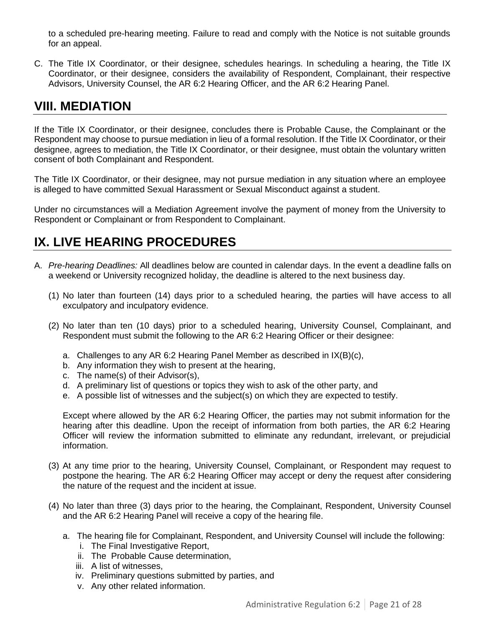to a scheduled pre-hearing meeting. Failure to read and comply with the Notice is not suitable grounds for an appeal.

C. The Title IX Coordinator, or their designee, schedules hearings. In scheduling a hearing, the Title IX Coordinator, or their designee, considers the availability of Respondent, Complainant, their respective Advisors, University Counsel, the AR 6:2 Hearing Officer, and the AR 6:2 Hearing Panel.

## **VIII. MEDIATION**

If the Title IX Coordinator, or their designee, concludes there is Probable Cause, the Complainant or the Respondent may choose to pursue mediation in lieu of a formal resolution. If the Title IX Coordinator, or their designee, agrees to mediation, the Title IX Coordinator, or their designee, must obtain the voluntary written consent of both Complainant and Respondent.

The Title IX Coordinator, or their designee, may not pursue mediation in any situation where an employee is alleged to have committed Sexual Harassment or Sexual Misconduct against a student.

Under no circumstances will a Mediation Agreement involve the payment of money from the University to Respondent or Complainant or from Respondent to Complainant.

# **IX. LIVE HEARING PROCEDURES**

- A. *Pre-hearing Deadlines:* All deadlines below are counted in calendar days. In the event a deadline falls on a weekend or University recognized holiday, the deadline is altered to the next business day.
	- (1) No later than fourteen (14) days prior to a scheduled hearing, the parties will have access to all exculpatory and inculpatory evidence.
	- (2) No later than ten (10 days) prior to a scheduled hearing, University Counsel, Complainant, and Respondent must submit the following to the AR 6:2 Hearing Officer or their designee:
		- a. Challenges to any AR 6:2 Hearing Panel Member as described in IX(B)(c),
		- b. Any information they wish to present at the hearing,
		- c. The name(s) of their Advisor(s),
		- d. A preliminary list of questions or topics they wish to ask of the other party, and
		- e. A possible list of witnesses and the subject(s) on which they are expected to testify.

Except where allowed by the AR 6:2 Hearing Officer, the parties may not submit information for the hearing after this deadline. Upon the receipt of information from both parties, the AR 6:2 Hearing Officer will review the information submitted to eliminate any redundant, irrelevant, or prejudicial information.

- (3) At any time prior to the hearing, University Counsel, Complainant, or Respondent may request to postpone the hearing. The AR 6:2 Hearing Officer may accept or deny the request after considering the nature of the request and the incident at issue.
- (4) No later than three (3) days prior to the hearing, the Complainant, Respondent, University Counsel and the AR 6:2 Hearing Panel will receive a copy of the hearing file.
	- a. The hearing file for Complainant, Respondent, and University Counsel will include the following:
		- i. The Final Investigative Report,
		- ii. The Probable Cause determination,
		- iii. A list of witnesses,
		- iv. Preliminary questions submitted by parties, and
		- v. Any other related information.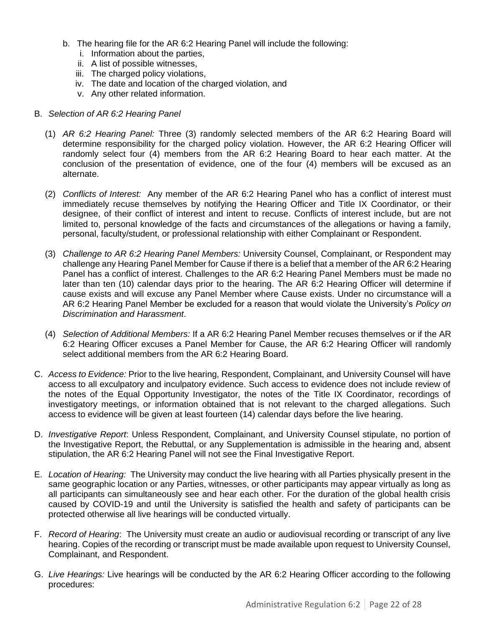- b. The hearing file for the AR 6:2 Hearing Panel will include the following:
	- i. Information about the parties,
	- ii. A list of possible witnesses,
	- iii. The charged policy violations,
	- iv. The date and location of the charged violation, and
	- v. Any other related information.

### B. *Selection of AR 6:2 Hearing Panel*

- (1) *AR 6:2 Hearing Panel:* Three (3) randomly selected members of the AR 6:2 Hearing Board will determine responsibility for the charged policy violation. However, the AR 6:2 Hearing Officer will randomly select four (4) members from the AR 6:2 Hearing Board to hear each matter. At the conclusion of the presentation of evidence, one of the four (4) members will be excused as an alternate.
- (2) *Conflicts of Interest:* Any member of the AR 6:2 Hearing Panel who has a conflict of interest must immediately recuse themselves by notifying the Hearing Officer and Title IX Coordinator, or their designee, of their conflict of interest and intent to recuse. Conflicts of interest include, but are not limited to, personal knowledge of the facts and circumstances of the allegations or having a family, personal, faculty/student, or professional relationship with either Complainant or Respondent.
- (3) *Challenge to AR 6:2 Hearing Panel Members:* University Counsel, Complainant, or Respondent may challenge any Hearing Panel Member for Cause if there is a belief that a member of the AR 6:2 Hearing Panel has a conflict of interest. Challenges to the AR 6:2 Hearing Panel Members must be made no later than ten (10) calendar days prior to the hearing. The AR 6:2 Hearing Officer will determine if cause exists and will excuse any Panel Member where Cause exists. Under no circumstance will a AR 6:2 Hearing Panel Member be excluded for a reason that would violate the University's *Policy on Discrimination and Harassment*.
- (4) *Selection of Additional Members:* If a AR 6:2 Hearing Panel Member recuses themselves or if the AR 6:2 Hearing Officer excuses a Panel Member for Cause, the AR 6:2 Hearing Officer will randomly select additional members from the AR 6:2 Hearing Board.
- C. *Access to Evidence:* Prior to the live hearing, Respondent, Complainant, and University Counsel will have access to all exculpatory and inculpatory evidence. Such access to evidence does not include review of the notes of the Equal Opportunity Investigator, the notes of the Title IX Coordinator, recordings of investigatory meetings, or information obtained that is not relevant to the charged allegations. Such access to evidence will be given at least fourteen (14) calendar days before the live hearing.
- D. *Investigative Report*: Unless Respondent, Complainant, and University Counsel stipulate, no portion of the Investigative Report, the Rebuttal, or any Supplementation is admissible in the hearing and, absent stipulation, the AR 6:2 Hearing Panel will not see the Final Investigative Report.
- E. *Location of Hearing:* The University may conduct the live hearing with all Parties physically present in the same geographic location or any Parties, witnesses, or other participants may appear virtually as long as all participants can simultaneously see and hear each other. For the duration of the global health crisis caused by COVID-19 and until the University is satisfied the health and safety of participants can be protected otherwise all live hearings will be conducted virtually.
- F. *Record of Hearing*: The University must create an audio or audiovisual recording or transcript of any live hearing. Copies of the recording or transcript must be made available upon request to University Counsel, Complainant, and Respondent.
- G. *Live Hearings:* Live hearings will be conducted by the AR 6:2 Hearing Officer according to the following procedures: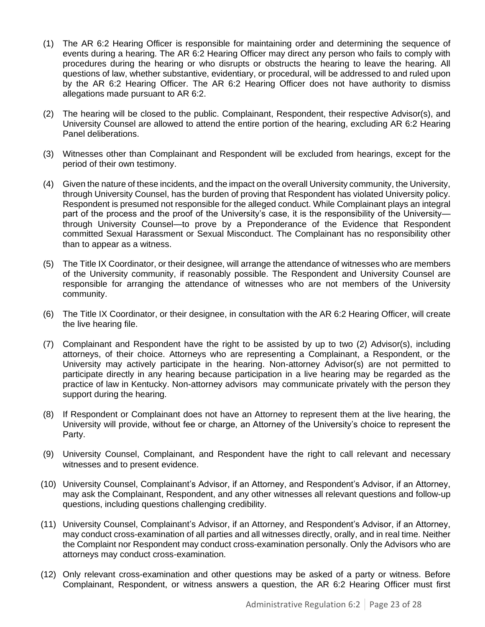- (1) The AR 6:2 Hearing Officer is responsible for maintaining order and determining the sequence of events during a hearing. The AR 6:2 Hearing Officer may direct any person who fails to comply with procedures during the hearing or who disrupts or obstructs the hearing to leave the hearing. All questions of law, whether substantive, evidentiary, or procedural, will be addressed to and ruled upon by the AR 6:2 Hearing Officer. The AR 6:2 Hearing Officer does not have authority to dismiss allegations made pursuant to AR 6:2.
- (2) The hearing will be closed to the public. Complainant, Respondent, their respective Advisor(s), and University Counsel are allowed to attend the entire portion of the hearing, excluding AR 6:2 Hearing Panel deliberations.
- (3) Witnesses other than Complainant and Respondent will be excluded from hearings, except for the period of their own testimony.
- (4) Given the nature of these incidents, and the impact on the overall University community, the University, through University Counsel, has the burden of proving that Respondent has violated University policy. Respondent is presumed not responsible for the alleged conduct. While Complainant plays an integral part of the process and the proof of the University's case, it is the responsibility of the University through University Counsel—to prove by a Preponderance of the Evidence that Respondent committed Sexual Harassment or Sexual Misconduct. The Complainant has no responsibility other than to appear as a witness.
- (5) The Title IX Coordinator, or their designee, will arrange the attendance of witnesses who are members of the University community, if reasonably possible. The Respondent and University Counsel are responsible for arranging the attendance of witnesses who are not members of the University community.
- (6) The Title IX Coordinator, or their designee, in consultation with the AR 6:2 Hearing Officer, will create the live hearing file.
- (7) Complainant and Respondent have the right to be assisted by up to two (2) Advisor(s), including attorneys, of their choice. Attorneys who are representing a Complainant, a Respondent, or the University may actively participate in the hearing. Non-attorney Advisor(s) are not permitted to participate directly in any hearing because participation in a live hearing may be regarded as the practice of law in Kentucky. Non-attorney advisors may communicate privately with the person they support during the hearing.
- (8) If Respondent or Complainant does not have an Attorney to represent them at the live hearing, the University will provide, without fee or charge, an Attorney of the University's choice to represent the Party.
- (9) University Counsel, Complainant, and Respondent have the right to call relevant and necessary witnesses and to present evidence.
- (10) University Counsel, Complainant's Advisor, if an Attorney, and Respondent's Advisor, if an Attorney, may ask the Complainant, Respondent, and any other witnesses all relevant questions and follow-up questions, including questions challenging credibility.
- (11) University Counsel, Complainant's Advisor, if an Attorney, and Respondent's Advisor, if an Attorney, may conduct cross-examination of all parties and all witnesses directly, orally, and in real time. Neither the Complaint nor Respondent may conduct cross-examination personally. Only the Advisors who are attorneys may conduct cross-examination.
- (12) Only relevant cross-examination and other questions may be asked of a party or witness. Before Complainant, Respondent, or witness answers a question, the AR 6:2 Hearing Officer must first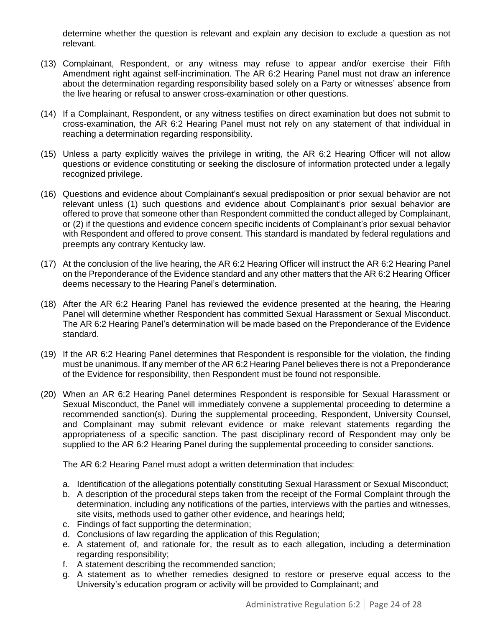determine whether the question is relevant and explain any decision to exclude a question as not relevant.

- (13) Complainant, Respondent, or any witness may refuse to appear and/or exercise their Fifth Amendment right against self-incrimination. The AR 6:2 Hearing Panel must not draw an inference about the determination regarding responsibility based solely on a Party or witnesses' absence from the live hearing or refusal to answer cross-examination or other questions.
- (14) If a Complainant, Respondent, or any witness testifies on direct examination but does not submit to cross-examination, the AR 6:2 Hearing Panel must not rely on any statement of that individual in reaching a determination regarding responsibility.
- (15) Unless a party explicitly waives the privilege in writing, the AR 6:2 Hearing Officer will not allow questions or evidence constituting or seeking the disclosure of information protected under a legally recognized privilege.
- (16) Questions and evidence about Complainant's sexual predisposition or prior sexual behavior are not relevant unless (1) such questions and evidence about Complainant's prior sexual behavior are offered to prove that someone other than Respondent committed the conduct alleged by Complainant, or (2) if the questions and evidence concern specific incidents of Complainant's prior sexual behavior with Respondent and offered to prove consent. This standard is mandated by federal regulations and preempts any contrary Kentucky law.
- (17) At the conclusion of the live hearing, the AR 6:2 Hearing Officer will instruct the AR 6:2 Hearing Panel on the Preponderance of the Evidence standard and any other matters that the AR 6:2 Hearing Officer deems necessary to the Hearing Panel's determination.
- (18) After the AR 6:2 Hearing Panel has reviewed the evidence presented at the hearing, the Hearing Panel will determine whether Respondent has committed Sexual Harassment or Sexual Misconduct. The AR 6:2 Hearing Panel's determination will be made based on the Preponderance of the Evidence standard.
- (19) If the AR 6:2 Hearing Panel determines that Respondent is responsible for the violation, the finding must be unanimous. If any member of the AR 6:2 Hearing Panel believes there is not a Preponderance of the Evidence for responsibility, then Respondent must be found not responsible.
- (20) When an AR 6:2 Hearing Panel determines Respondent is responsible for Sexual Harassment or Sexual Misconduct, the Panel will immediately convene a supplemental proceeding to determine a recommended sanction(s). During the supplemental proceeding, Respondent, University Counsel, and Complainant may submit relevant evidence or make relevant statements regarding the appropriateness of a specific sanction. The past disciplinary record of Respondent may only be supplied to the AR 6:2 Hearing Panel during the supplemental proceeding to consider sanctions.

The AR 6:2 Hearing Panel must adopt a written determination that includes:

- a. Identification of the allegations potentially constituting Sexual Harassment or Sexual Misconduct;
- b. A description of the procedural steps taken from the receipt of the Formal Complaint through the determination, including any notifications of the parties, interviews with the parties and witnesses, site visits, methods used to gather other evidence, and hearings held;
- c. Findings of fact supporting the determination;
- d. Conclusions of law regarding the application of this Regulation;
- e. A statement of, and rationale for, the result as to each allegation, including a determination regarding responsibility;
- f. A statement describing the recommended sanction;
- g. A statement as to whether remedies designed to restore or preserve equal access to the University's education program or activity will be provided to Complainant; and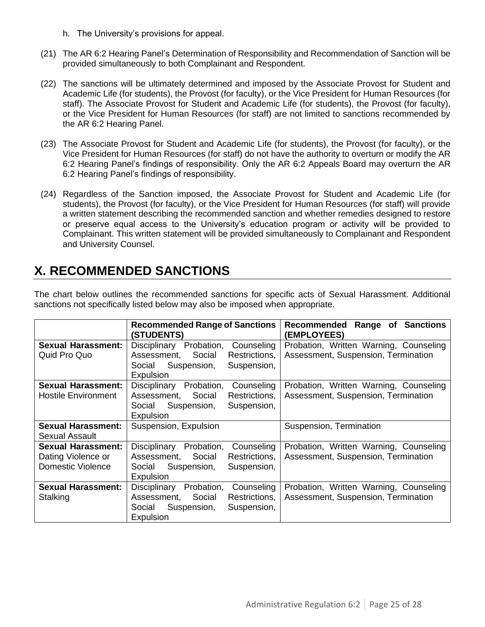- h. The University's provisions for appeal.
- (21) The AR 6:2 Hearing Panel's Determination of Responsibility and Recommendation of Sanction will be provided simultaneously to both Complainant and Respondent.
- (22) The sanctions will be ultimately determined and imposed by the Associate Provost for Student and Academic Life (for students), the Provost (for faculty), or the Vice President for Human Resources (for staff). The Associate Provost for Student and Academic Life (for students), the Provost (for faculty), or the Vice President for Human Resources (for staff) are not limited to sanctions recommended by the AR 6:2 Hearing Panel.
- (23) The Associate Provost for Student and Academic Life (for students), the Provost (for faculty), or the Vice President for Human Resources (for staff) do not have the authority to overturn or modify the AR 6:2 Hearing Panel's findings of responsibility. Only the AR 6:2 Appeals Board may overturn the AR 6:2 Hearing Panel's findings of responsibility.
- (24) Regardless of the Sanction imposed, the Associate Provost for Student and Academic Life (for students), the Provost (for faculty), or the Vice President for Human Resources (for staff) will provide a written statement describing the recommended sanction and whether remedies designed to restore or preserve equal access to the University's education program or activity will be provided to Complainant. This written statement will be provided simultaneously to Complainant and Respondent and University Counsel.

# **X. RECOMMENDED SANCTIONS**

|                            | <b>Recommended Range of Sanctions</b><br><b>(STUDENTS)</b> | <b>Sanctions</b><br>Recommended<br>Range of<br><b>(EMPLOYEES)</b> |
|----------------------------|------------------------------------------------------------|-------------------------------------------------------------------|
| <b>Sexual Harassment:</b>  | Disciplinary<br>Probation,<br>Counseling                   | Probation, Written Warning, Counseling                            |
| Quid Pro Quo               | Restrictions,<br>Assessment,<br>Social                     | Assessment, Suspension, Termination                               |
|                            | Suspension,<br>Suspension,<br>Social                       |                                                                   |
|                            | Expulsion                                                  |                                                                   |
| <b>Sexual Harassment:</b>  | Disciplinary<br>Probation,<br>Counseling                   | Probation, Written Warning, Counseling                            |
| <b>Hostile Environment</b> | Restrictions,<br>Assessment,<br>Social                     | Assessment, Suspension, Termination                               |
|                            | Suspension,<br>Suspension,<br>Social                       |                                                                   |
|                            | Expulsion                                                  |                                                                   |
| <b>Sexual Harassment:</b>  | Suspension, Expulsion                                      | Suspension, Termination                                           |
| <b>Sexual Assault</b>      |                                                            |                                                                   |
| <b>Sexual Harassment:</b>  | Disciplinary<br>Probation,<br>Counseling                   | Probation, Written Warning, Counseling                            |
| Dating Violence or         | Restrictions,<br>Assessment,<br>Social                     | Assessment, Suspension, Termination                               |
| <b>Domestic Violence</b>   | Suspension,<br>Suspension,<br>Social                       |                                                                   |
|                            | Expulsion                                                  |                                                                   |
| <b>Sexual Harassment:</b>  | Disciplinary<br>Probation,<br>Counseling                   | Probation, Written Warning, Counseling                            |
| Stalking                   | Assessment,<br>Restrictions,<br>Social                     | Assessment, Suspension, Termination                               |
|                            | Suspension,<br>Suspension,<br>Social                       |                                                                   |
|                            | Expulsion                                                  |                                                                   |

The chart below outlines the recommended sanctions for specific acts of Sexual Harassment. Additional sanctions not specifically listed below may also be imposed when appropriate.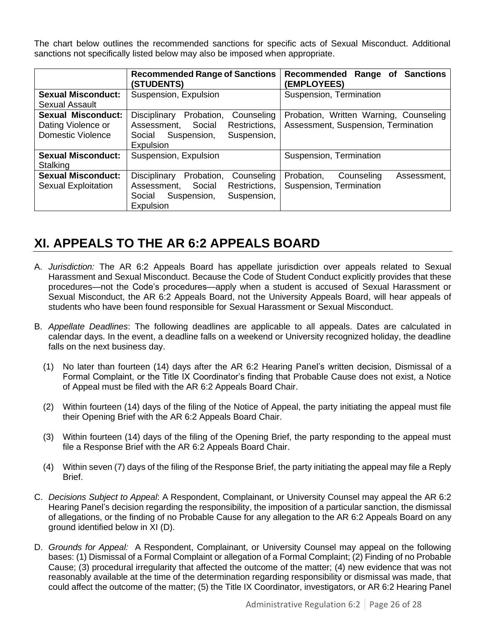The chart below outlines the recommended sanctions for specific acts of Sexual Misconduct. Additional sanctions not specifically listed below may also be imposed when appropriate.

|                                                         | <b>Recommended Range of Sanctions</b><br><b>(STUDENTS)</b>                                                                              | <b>Sanctions</b><br><b>Recommended</b><br>Range of<br>(EMPLOYEES)             |
|---------------------------------------------------------|-----------------------------------------------------------------------------------------------------------------------------------------|-------------------------------------------------------------------------------|
| <b>Sexual Misconduct:</b>                               | Suspension, Expulsion                                                                                                                   | Suspension, Termination                                                       |
| Sexual Assault<br><b>Sexual Misconduct:</b>             | Probation,                                                                                                                              |                                                                               |
| Dating Violence or<br><b>Domestic Violence</b>          | Disciplinary<br>Counseling<br>Restrictions,<br>Assessment,<br>Social<br>Suspension,<br>Suspension,<br>Social<br>Expulsion               | Probation, Written Warning, Counseling<br>Assessment, Suspension, Termination |
| <b>Sexual Misconduct:</b><br>Stalking                   | Suspension, Expulsion                                                                                                                   | Suspension, Termination                                                       |
| <b>Sexual Misconduct:</b><br><b>Sexual Exploitation</b> | Probation,<br>Disciplinary<br>Counseling<br>Assessment,<br>Restrictions,<br>Social<br>Suspension,<br>Social<br>Suspension,<br>Expulsion | Probation,<br>Counseling<br>Assessment,<br>Suspension, Termination            |

# **XI. APPEALS TO THE AR 6:2 APPEALS BOARD**

- A. *Jurisdiction:* The AR 6:2 Appeals Board has appellate jurisdiction over appeals related to Sexual Harassment and Sexual Misconduct. Because the Code of Student Conduct explicitly provides that these procedures—not the Code's procedures—apply when a student is accused of Sexual Harassment or Sexual Misconduct, the AR 6:2 Appeals Board, not the University Appeals Board, will hear appeals of students who have been found responsible for Sexual Harassment or Sexual Misconduct.
- B. *Appellate Deadlines*: The following deadlines are applicable to all appeals. Dates are calculated in calendar days. In the event, a deadline falls on a weekend or University recognized holiday, the deadline falls on the next business day.
	- (1) No later than fourteen (14) days after the AR 6:2 Hearing Panel's written decision, Dismissal of a Formal Complaint, or the Title IX Coordinator's finding that Probable Cause does not exist, a Notice of Appeal must be filed with the AR 6:2 Appeals Board Chair.
	- (2) Within fourteen (14) days of the filing of the Notice of Appeal, the party initiating the appeal must file their Opening Brief with the AR 6:2 Appeals Board Chair.
	- (3) Within fourteen (14) days of the filing of the Opening Brief, the party responding to the appeal must file a Response Brief with the AR 6:2 Appeals Board Chair.
	- (4) Within seven (7) days of the filing of the Response Brief, the party initiating the appeal may file a Reply Brief.
- C. *Decisions Subject to Appeal*: A Respondent, Complainant, or University Counsel may appeal the AR 6:2 Hearing Panel's decision regarding the responsibility, the imposition of a particular sanction, the dismissal of allegations, or the finding of no Probable Cause for any allegation to the AR 6:2 Appeals Board on any ground identified below in XI (D).
- D. *Grounds for Appeal:* A Respondent, Complainant, or University Counsel may appeal on the following bases: (1) Dismissal of a Formal Complaint or allegation of a Formal Complaint; (2) Finding of no Probable Cause; (3) procedural irregularity that affected the outcome of the matter; (4) new evidence that was not reasonably available at the time of the determination regarding responsibility or dismissal was made, that could affect the outcome of the matter; (5) the Title IX Coordinator, investigators, or AR 6:2 Hearing Panel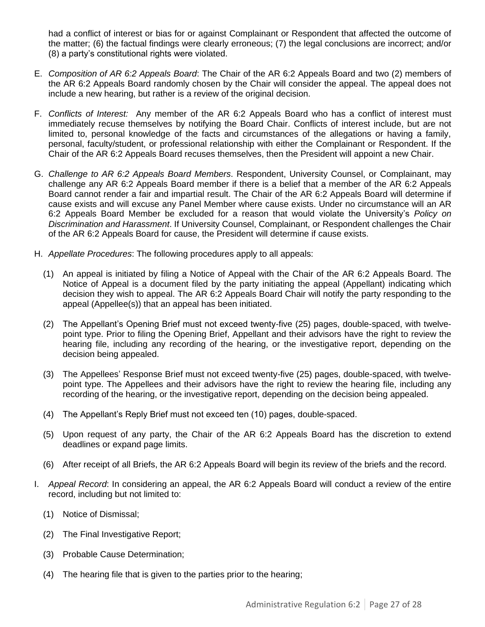had a conflict of interest or bias for or against Complainant or Respondent that affected the outcome of the matter; (6) the factual findings were clearly erroneous; (7) the legal conclusions are incorrect; and/or (8) a party's constitutional rights were violated.

- E. *Composition of AR 6:2 Appeals Board*: The Chair of the AR 6:2 Appeals Board and two (2) members of the AR 6:2 Appeals Board randomly chosen by the Chair will consider the appeal. The appeal does not include a new hearing, but rather is a review of the original decision.
- F. *Conflicts of Interest:* Any member of the AR 6:2 Appeals Board who has a conflict of interest must immediately recuse themselves by notifying the Board Chair. Conflicts of interest include, but are not limited to, personal knowledge of the facts and circumstances of the allegations or having a family, personal, faculty/student, or professional relationship with either the Complainant or Respondent. If the Chair of the AR 6:2 Appeals Board recuses themselves, then the President will appoint a new Chair.
- G. *Challenge to AR 6:2 Appeals Board Members*. Respondent, University Counsel, or Complainant, may challenge any AR 6:2 Appeals Board member if there is a belief that a member of the AR 6:2 Appeals Board cannot render a fair and impartial result. The Chair of the AR 6:2 Appeals Board will determine if cause exists and will excuse any Panel Member where cause exists. Under no circumstance will an AR 6:2 Appeals Board Member be excluded for a reason that would violate the University's *Policy on Discrimination and Harassment*. If University Counsel, Complainant, or Respondent challenges the Chair of the AR 6:2 Appeals Board for cause, the President will determine if cause exists.
- H. *Appellate Procedures*: The following procedures apply to all appeals:
	- (1) An appeal is initiated by filing a Notice of Appeal with the Chair of the AR 6:2 Appeals Board. The Notice of Appeal is a document filed by the party initiating the appeal (Appellant) indicating which decision they wish to appeal. The AR 6:2 Appeals Board Chair will notify the party responding to the appeal (Appellee(s)) that an appeal has been initiated.
	- (2) The Appellant's Opening Brief must not exceed twenty-five (25) pages, double-spaced, with twelvepoint type. Prior to filing the Opening Brief, Appellant and their advisors have the right to review the hearing file, including any recording of the hearing, or the investigative report, depending on the decision being appealed.
	- (3) The Appellees' Response Brief must not exceed twenty-five (25) pages, double-spaced, with twelvepoint type. The Appellees and their advisors have the right to review the hearing file, including any recording of the hearing, or the investigative report, depending on the decision being appealed.
	- (4) The Appellant's Reply Brief must not exceed ten (10) pages, double-spaced.
	- (5) Upon request of any party, the Chair of the AR 6:2 Appeals Board has the discretion to extend deadlines or expand page limits.
	- (6) After receipt of all Briefs, the AR 6:2 Appeals Board will begin its review of the briefs and the record.
- I. *Appeal Record*: In considering an appeal, the AR 6:2 Appeals Board will conduct a review of the entire record, including but not limited to:
	- (1) Notice of Dismissal;
	- (2) The Final Investigative Report;
	- (3) Probable Cause Determination;
	- (4) The hearing file that is given to the parties prior to the hearing;